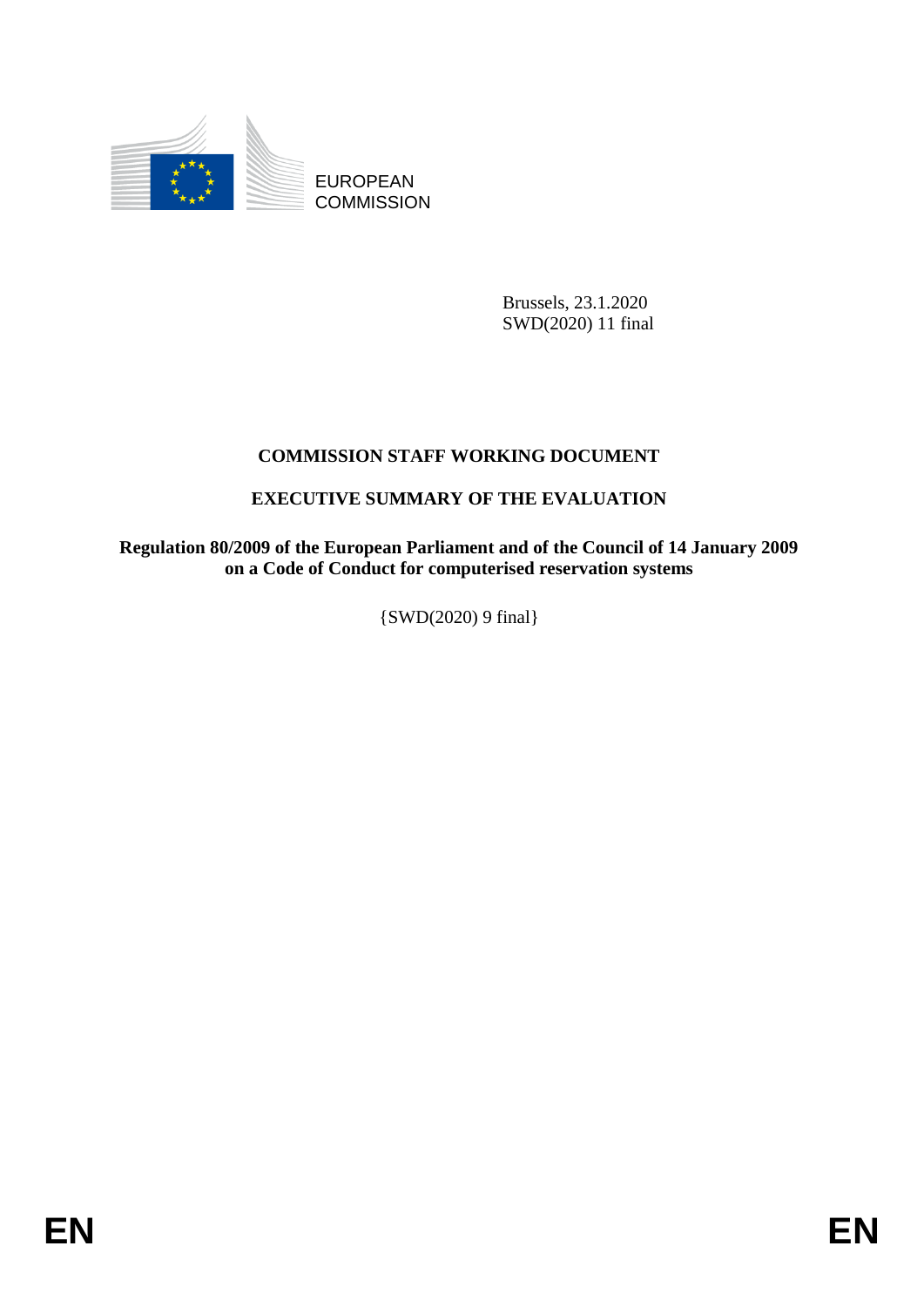

EUROPEAN **COMMISSION** 

> Brussels, 23.1.2020 SWD(2020) 11 final

# **COMMISSION STAFF WORKING DOCUMENT**

## **EXECUTIVE SUMMARY OF THE EVALUATION**

**Regulation 80/2009 of the European Parliament and of the Council of 14 January 2009 on a Code of Conduct for computerised reservation systems**

{SWD(2020) 9 final}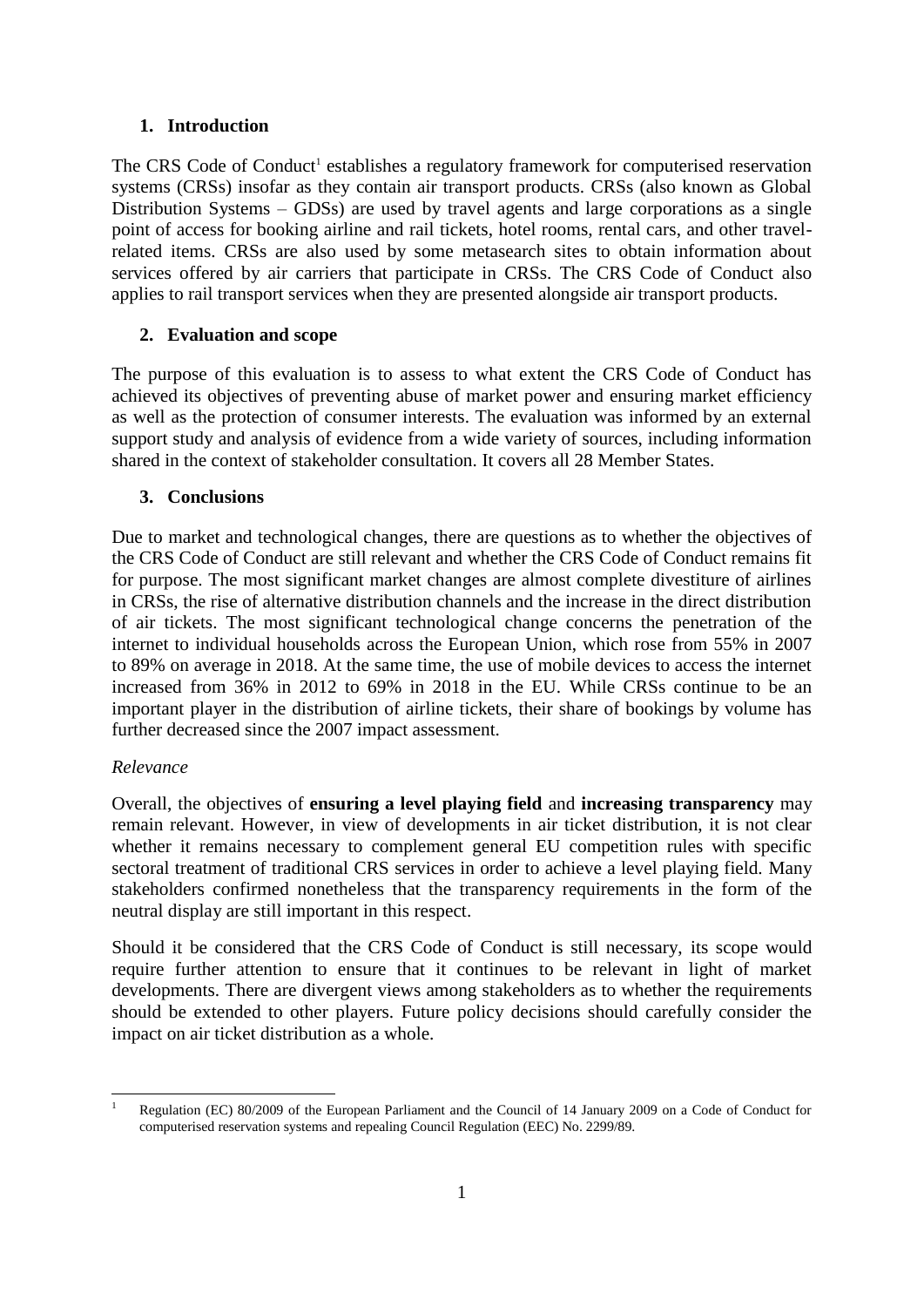#### **1. Introduction**

The CRS Code of Conduct<sup>1</sup> establishes a regulatory framework for computerised reservation systems (CRSs) insofar as they contain air transport products. CRSs (also known as Global Distribution Systems – GDSs) are used by travel agents and large corporations as a single point of access for booking airline and rail tickets, hotel rooms, rental cars, and other travelrelated items. CRSs are also used by some metasearch sites to obtain information about services offered by air carriers that participate in CRSs. The CRS Code of Conduct also applies to rail transport services when they are presented alongside air transport products.

### **2. Evaluation and scope**

The purpose of this evaluation is to assess to what extent the CRS Code of Conduct has achieved its objectives of preventing abuse of market power and ensuring market efficiency as well as the protection of consumer interests. The evaluation was informed by an external support study and analysis of evidence from a wide variety of sources, including information shared in the context of stakeholder consultation. It covers all 28 Member States.

### **3. Conclusions**

Due to market and technological changes, there are questions as to whether the objectives of the CRS Code of Conduct are still relevant and whether the CRS Code of Conduct remains fit for purpose. The most significant market changes are almost complete divestiture of airlines in CRSs, the rise of alternative distribution channels and the increase in the direct distribution of air tickets. The most significant technological change concerns the penetration of the internet to individual households across the European Union, which rose from 55% in 2007 to 89% on average in 2018. At the same time, the use of mobile devices to access the internet increased from 36% in 2012 to 69% in 2018 in the EU. While CRSs continue to be an important player in the distribution of airline tickets, their share of bookings by volume has further decreased since the 2007 impact assessment.

### *Relevance*

Overall, the objectives of **ensuring a level playing field** and **increasing transparency** may remain relevant. However, in view of developments in air ticket distribution, it is not clear whether it remains necessary to complement general EU competition rules with specific sectoral treatment of traditional CRS services in order to achieve a level playing field. Many stakeholders confirmed nonetheless that the transparency requirements in the form of the neutral display are still important in this respect.

Should it be considered that the CRS Code of Conduct is still necessary, its scope would require further attention to ensure that it continues to be relevant in light of market developments. There are divergent views among stakeholders as to whether the requirements should be extended to other players. Future policy decisions should carefully consider the impact on air ticket distribution as a whole.

**<sup>.</sup>** Regulation (EC) 80/2009 of the European Parliament and the Council of 14 January 2009 on a Code of Conduct for computerised reservation systems and repealing Council Regulation (EEC) No. 2299/89.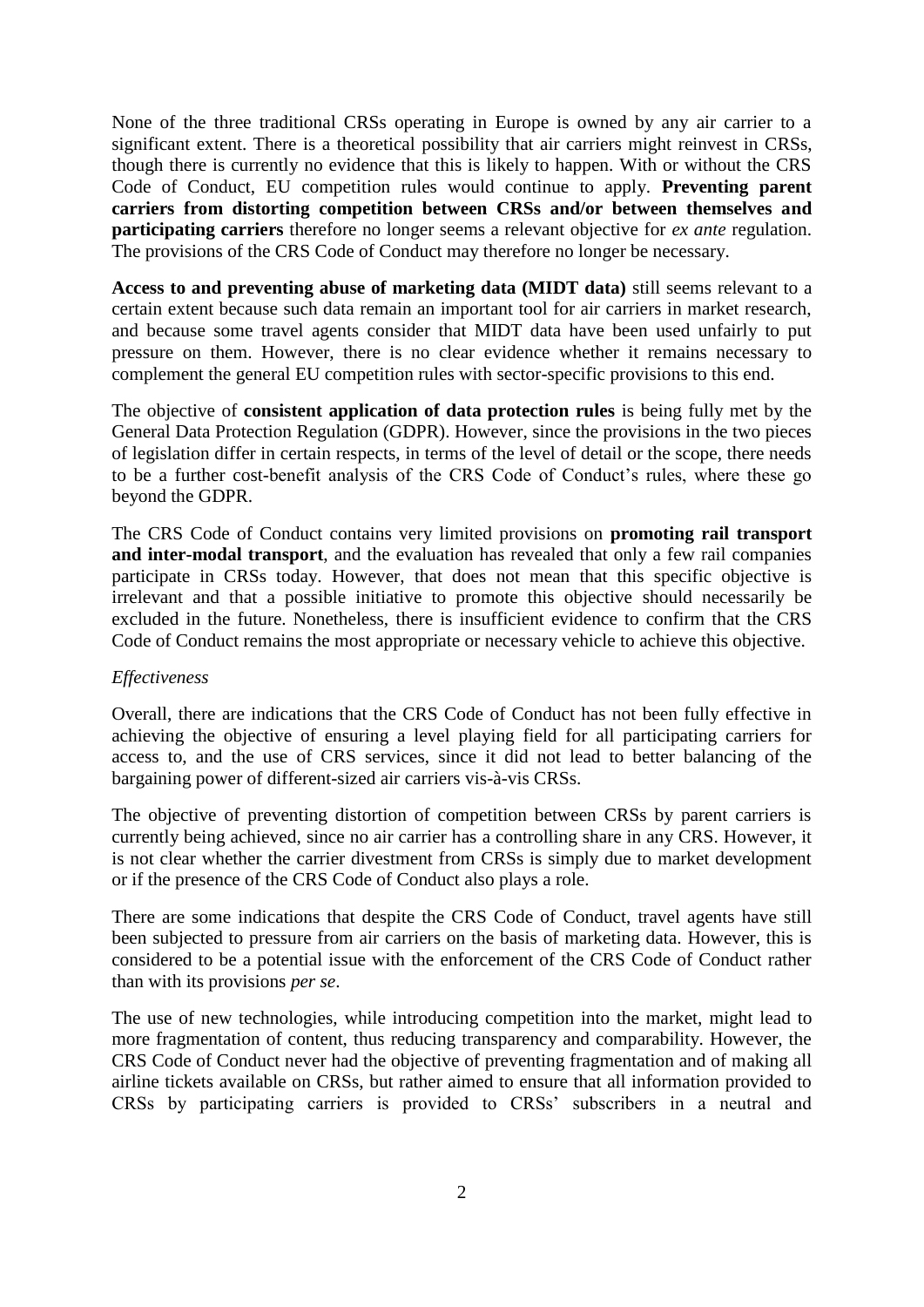None of the three traditional CRSs operating in Europe is owned by any air carrier to a significant extent. There is a theoretical possibility that air carriers might reinvest in CRSs, though there is currently no evidence that this is likely to happen. With or without the CRS Code of Conduct, EU competition rules would continue to apply. **Preventing parent carriers from distorting competition between CRSs and/or between themselves and participating carriers** therefore no longer seems a relevant objective for *ex ante* regulation. The provisions of the CRS Code of Conduct may therefore no longer be necessary.

**Access to and preventing abuse of marketing data (MIDT data)** still seems relevant to a certain extent because such data remain an important tool for air carriers in market research, and because some travel agents consider that MIDT data have been used unfairly to put pressure on them. However, there is no clear evidence whether it remains necessary to complement the general EU competition rules with sector-specific provisions to this end.

The objective of **consistent application of data protection rules** is being fully met by the General Data Protection Regulation (GDPR). However, since the provisions in the two pieces of legislation differ in certain respects, in terms of the level of detail or the scope, there needs to be a further cost-benefit analysis of the CRS Code of Conduct's rules, where these go beyond the GDPR.

The CRS Code of Conduct contains very limited provisions on **promoting rail transport and inter-modal transport**, and the evaluation has revealed that only a few rail companies participate in CRSs today. However, that does not mean that this specific objective is irrelevant and that a possible initiative to promote this objective should necessarily be excluded in the future. Nonetheless, there is insufficient evidence to confirm that the CRS Code of Conduct remains the most appropriate or necessary vehicle to achieve this objective.

#### *Effectiveness*

Overall, there are indications that the CRS Code of Conduct has not been fully effective in achieving the objective of ensuring a level playing field for all participating carriers for access to, and the use of CRS services, since it did not lead to better balancing of the bargaining power of different-sized air carriers vis-à-vis CRSs.

The objective of preventing distortion of competition between CRSs by parent carriers is currently being achieved, since no air carrier has a controlling share in any CRS. However, it is not clear whether the carrier divestment from CRSs is simply due to market development or if the presence of the CRS Code of Conduct also plays a role.

There are some indications that despite the CRS Code of Conduct, travel agents have still been subjected to pressure from air carriers on the basis of marketing data. However, this is considered to be a potential issue with the enforcement of the CRS Code of Conduct rather than with its provisions *per se*.

The use of new technologies, while introducing competition into the market, might lead to more fragmentation of content, thus reducing transparency and comparability. However, the CRS Code of Conduct never had the objective of preventing fragmentation and of making all airline tickets available on CRSs, but rather aimed to ensure that all information provided to CRSs by participating carriers is provided to CRSs' subscribers in a neutral and